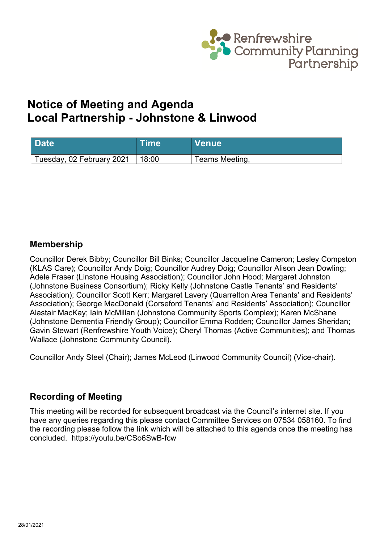

# **Notice of Meeting and Agenda Local Partnership - Johnstone & Linwood**

| <b>Date</b>               | Time  | <b>Venue</b>   |
|---------------------------|-------|----------------|
| Tuesday, 02 February 2021 | 18:00 | Teams Meeting, |

#### **Membership**

Councillor Derek Bibby; Councillor Bill Binks; Councillor Jacqueline Cameron; Lesley Compston (KLAS Care); Councillor Andy Doig; Councillor Audrey Doig; Councillor Alison Jean Dowling; Adele Fraser (Linstone Housing Association); Councillor John Hood; Margaret Johnston (Johnstone Business Consortium); Ricky Kelly (Johnstone Castle Tenants' and Residents' Association); Councillor Scott Kerr; Margaret Lavery (Quarrelton Area Tenants' and Residents' Association); George MacDonald (Corseford Tenants' and Residents' Association); Councillor Alastair MacKay; Iain McMillan (Johnstone Community Sports Complex); Karen McShane (Johnstone Dementia Friendly Group); Councillor Emma Rodden; Councillor James Sheridan; Gavin Stewart (Renfrewshire Youth Voice); Cheryl Thomas (Active Communities); and Thomas Wallace (Johnstone Community Council).

Councillor Andy Steel (Chair); James McLeod (Linwood Community Council) (Vice-chair).

### **Recording of Meeting**

This meeting will be recorded for subsequent broadcast via the Council's internet site. If you have any queries regarding this please contact Committee Services on 07534 058160. To find the recording please follow the link which will be attached to this agenda once the meeting has concluded. https://youtu.be/CSo6SwB-fcw